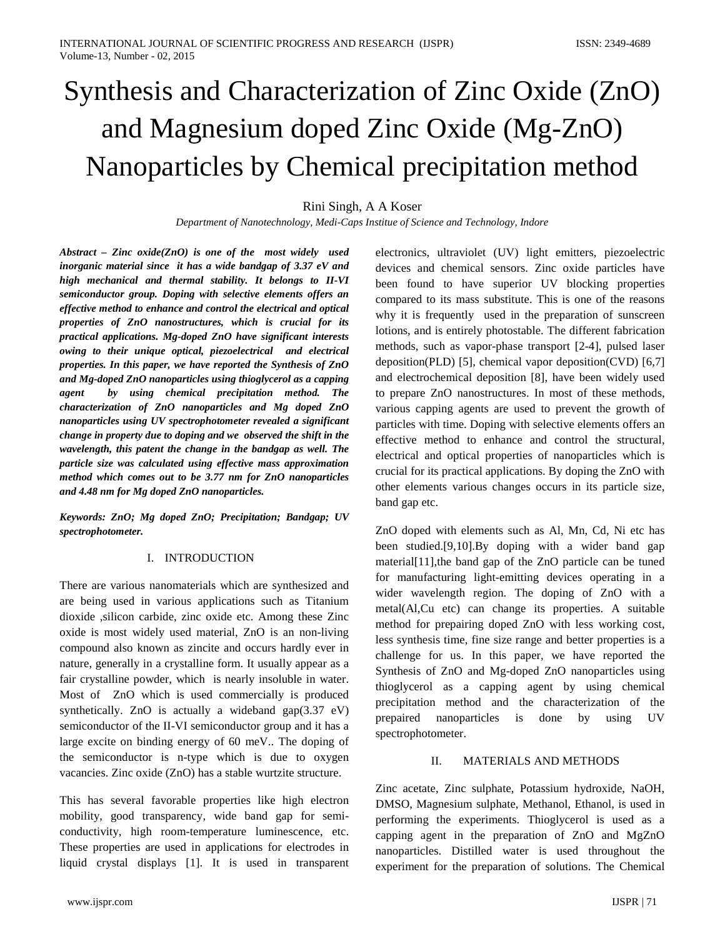# Synthesis and Characterization of Zinc Oxide (ZnO) and Magnesium doped Zinc Oxide (Mg-ZnO) Nanoparticles by Chemical precipitation method

Rini Singh, A A Koser

*Department of Nanotechnology, Medi-Caps Institue of Science and Technology, Indore*

*Abstract – Zinc oxide(ZnO) is one of the most widely used inorganic material since it has a wide bandgap of 3.37 eV and high mechanical and thermal stability. It belongs to II-VI semiconductor group. Doping with selective elements offers an effective method to enhance and control the electrical and optical properties of ZnO nanostructures, which is crucial for its practical applications. Mg-doped ZnO have significant interests owing to their unique optical, piezoelectrical and electrical properties. In this paper, we have reported the Synthesis of ZnO and Mg-doped ZnO nanoparticles using thioglycerol as a capping agent by using chemical precipitation method. The characterization of ZnO nanoparticles and Mg doped ZnO nanoparticles using UV spectrophotometer revealed a significant change in property due to doping and we observed the shift in the wavelength, this patent the change in the bandgap as well. The particle size was calculated using effective mass approximation method which comes out to be 3.77 nm for ZnO nanoparticles and 4.48 nm for Mg doped ZnO nanoparticles.*

*Keywords: ZnO; Mg doped ZnO; Precipitation; Bandgap; UV spectrophotometer.*

## I. INTRODUCTION

There are various nanomaterials which are synthesized and are being used in various applications such as Titanium dioxide ,silicon carbide, zinc oxide etc. Among these Zinc oxide is most widely used material, ZnO is an non-living compound also known as zincite and occurs hardly ever in nature, generally in a crystalline form. It usually appear as a fair crystalline powder, which is nearly insoluble in water. Most of ZnO which is used commercially is produced synthetically. ZnO is actually a wideband gap $(3.37 \text{ eV})$ semiconductor of the II-VI semiconductor group and it has a large excite on binding energy of 60 meV.. The doping of the semiconductor is n-type which is due to oxygen vacancies. Zinc oxide (ZnO) has a stable wurtzite structure.

This has several favorable properties like high electron mobility, good transparency, wide band gap for semiconductivity, high room-temperature luminescence, etc. These properties are used in applications for electrodes in liquid crystal displays [1]. It is used in transparent

www.ijspr.com IJSPR | 71

electronics, ultraviolet (UV) light emitters, piezoelectric devices and chemical sensors. Zinc oxide particles have been found to have superior UV blocking properties compared to its mass substitute. This is one of the reasons why it is frequently used in the preparation of sunscreen lotions, and is entirely photostable. The different fabrication methods, such as vapor-phase transport [2-4], pulsed laser deposition(PLD) [5], chemical vapor deposition(CVD) [6,7] and electrochemical deposition [8], have been widely used to prepare ZnO nanostructures. In most of these methods, various capping agents are used to prevent the growth of particles with time. Doping with selective elements offers an effective method to enhance and control the structural, electrical and optical properties of nanoparticles which is crucial for its practical applications. By doping the ZnO with other elements various changes occurs in its particle size, band gap etc.

ZnO doped with elements such as Al, Mn, Cd, Ni etc has been studied.[9,10].By doping with a wider band gap material[11],the band gap of the ZnO particle can be tuned for manufacturing light-emitting devices operating in a wider wavelength region. The doping of ZnO with a metal(Al,Cu etc) can change its properties. A suitable method for prepairing doped ZnO with less working cost, less synthesis time, fine size range and better properties is a challenge for us. In this paper, we have reported the Synthesis of ZnO and Mg-doped ZnO nanoparticles using thioglycerol as a capping agent by using chemical precipitation method and the characterization of the prepaired nanoparticles is done by using UV spectrophotometer.

# II. MATERIALS AND METHODS

Zinc acetate, Zinc sulphate, Potassium hydroxide, NaOH, DMSO, Magnesium sulphate, Methanol, Ethanol, is used in performing the experiments. Thioglycerol is used as a capping agent in the preparation of ZnO and MgZnO nanoparticles. Distilled water is used throughout the experiment for the preparation of solutions. The Chemical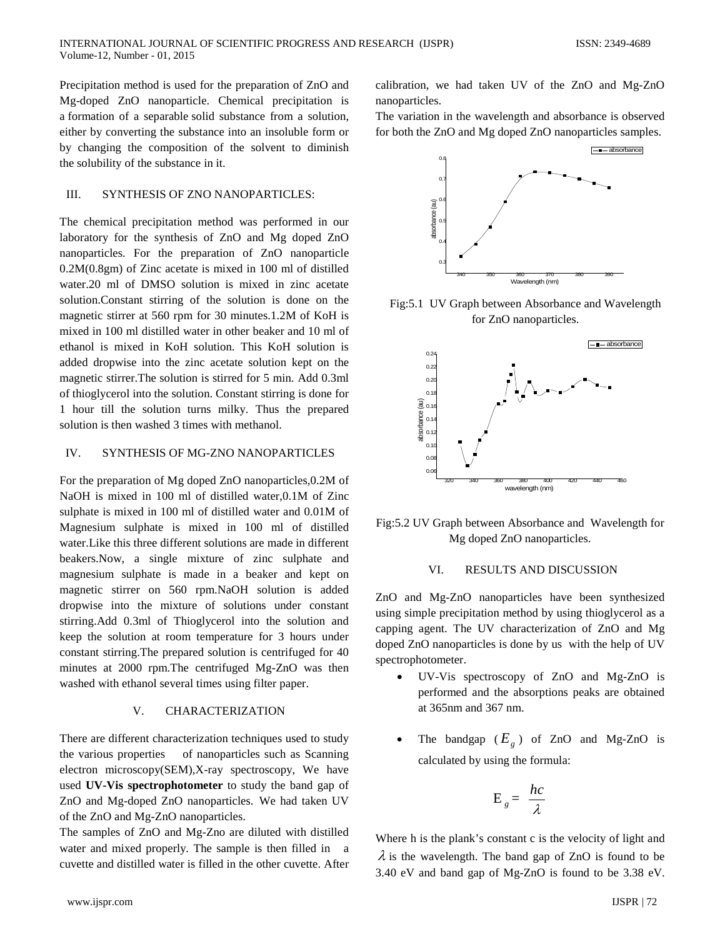Precipitation method is used for the preparation of ZnO and Mg-doped ZnO nanoparticle. Chemical precipitation is a formation of a separable solid substance from a solution, either by converting the substance into an insoluble form or by changing the composition of the solvent to diminish the solubility of the substance in it.

## III. SYNTHESIS OF ZNO NANOPARTICLES:

The chemical precipitation method was performed in our laboratory for the synthesis of ZnO and Mg doped ZnO nanoparticles. For the preparation of ZnO nanoparticle 0.2M(0.8gm) of Zinc acetate is mixed in 100 ml of distilled water.20 ml of DMSO solution is mixed in zinc acetate solution.Constant stirring of the solution is done on the magnetic stirrer at 560 rpm for 30 minutes.1.2M of KoH is mixed in 100 ml distilled water in other beaker and 10 ml of ethanol is mixed in KoH solution. This KoH solution is added dropwise into the zinc acetate solution kept on the magnetic stirrer.The solution is stirred for 5 min. Add 0.3ml of thioglycerol into the solution. Constant stirring is done for 1 hour till the solution turns milky. Thus the prepared solution is then washed 3 times with methanol.

#### IV. SYNTHESIS OF MG-ZNO NANOPARTICLES

For the preparation of Mg doped ZnO nanoparticles,0.2M of NaOH is mixed in 100 ml of distilled water,0.1M of Zinc sulphate is mixed in 100 ml of distilled water and 0.01M of Magnesium sulphate is mixed in 100 ml of distilled water.Like this three different solutions are made in different beakers.Now, a single mixture of zinc sulphate and magnesium sulphate is made in a beaker and kept on magnetic stirrer on 560 rpm.NaOH solution is added dropwise into the mixture of solutions under constant stirring.Add 0.3ml of Thioglycerol into the solution and keep the solution at room temperature for 3 hours under constant stirring.The prepared solution is centrifuged for 40 minutes at 2000 rpm.The centrifuged Mg-ZnO was then washed with ethanol several times using filter paper.

#### V. CHARACTERIZATION

There are different characterization techniques used to study the various properties of nanoparticles such as Scanning electron microscopy(SEM),X-ray spectroscopy, We have used **UV-Vis spectrophotometer** to study the band gap of ZnO and Mg-doped ZnO nanoparticles. We had taken UV of the ZnO and Mg-ZnO nanoparticles.

The samples of ZnO and Mg-Zno are diluted with distilled water and mixed properly. The sample is then filled in a cuvette and distilled water is filled in the other cuvette. After calibration, we had taken UV of the ZnO and Mg-ZnO nanoparticles.

The variation in the wavelength and absorbance is observed for both the ZnO and Mg doped ZnO nanoparticles samples.



Fig:5.1 UV Graph between Absorbance and Wavelength for ZnO nanoparticles.



Fig:5.2 UV Graph between Absorbance and Wavelength for Mg doped ZnO nanoparticles.

#### VI. RESULTS AND DISCUSSION

ZnO and Mg-ZnO nanoparticles have been synthesized using simple precipitation method by using thioglycerol as a capping agent. The UV characterization of ZnO and Mg doped ZnO nanoparticles is done by us with the help of UV spectrophotometer.

- UV-Vis spectroscopy of ZnO and Mg-ZnO is performed and the absorptions peaks are obtained at 365nm and 367 nm.
- The bandgap  $(E_g)$  of ZnO and Mg-ZnO is calculated by using the formula:

$$
E_g = \frac{hc}{\lambda}
$$

Where h is the plank's constant c is the velocity of light and  $\lambda$  is the wavelength. The band gap of ZnO is found to be 3.40 eV and band gap of Mg-ZnO is found to be 3.38 eV.